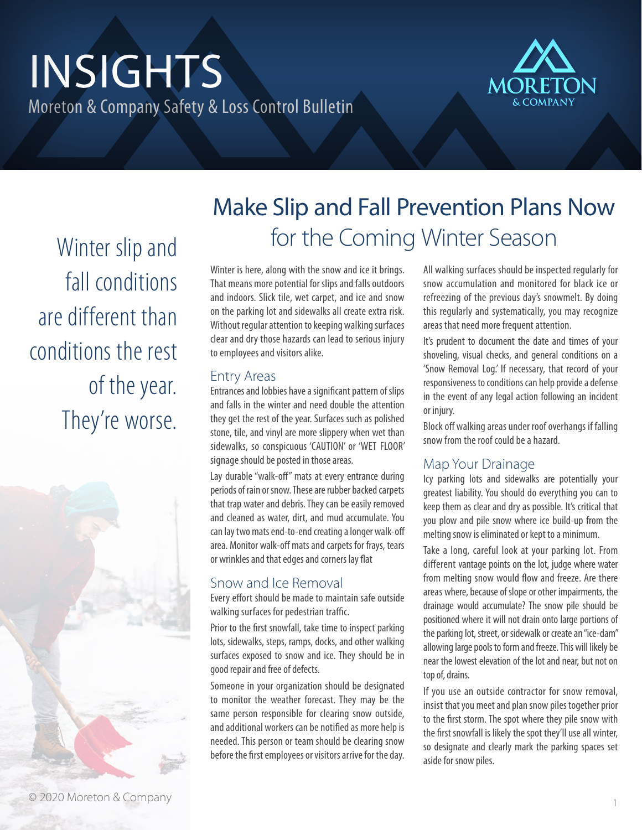# INSIGHTS Moreton & Company Safety & Loss Control Bulletin



Winter slip and fall conditions are different than conditions the rest of the year. They're worse.



## Make Slip and Fall Prevention Plans Now for the Coming Winter Season

Winter is here, along with the snow and ice it brings. That means more potential for slips and falls outdoors and indoors. Slick tile, wet carpet, and ice and snow on the parking lot and sidewalks all create extra risk. Without regular attention to keeping walking surfaces clear and dry those hazards can lead to serious injury to employees and visitors alike.

#### Entry Areas

Entrances and lobbies have a significant pattern of slips and falls in the winter and need double the attention they get the rest of the year. Surfaces such as polished stone, tile, and vinyl are more slippery when wet than sidewalks, so conspicuous 'CAUTION' or 'WET FLOOR' signage should be posted in those areas.

Lay durable "walk-off" mats at every entrance during periods of rain or snow. These are rubber backed carpets that trap water and debris. They can be easily removed and cleaned as water, dirt, and mud accumulate. You can lay two mats end-to-end creating a longer walk-off area. Monitor walk-off mats and carpets for frays, tears or wrinkles and that edges and corners lay flat

#### Snow and Ice Removal

Every effort should be made to maintain safe outside walking surfaces for pedestrian traffic.

Prior to the first snowfall, take time to inspect parking lots, sidewalks, steps, ramps, docks, and other walking surfaces exposed to snow and ice. They should be in good repair and free of defects.

Someone in your organization should be designated to monitor the weather forecast. They may be the same person responsible for clearing snow outside, and additional workers can be notified as more help is needed. This person or team should be clearing snow before the first employees or visitors arrive for the day. All walking surfaces should be inspected regularly for snow accumulation and monitored for black ice or refreezing of the previous day's snowmelt. By doing this regularly and systematically, you may recognize areas that need more frequent attention.

It's prudent to document the date and times of your shoveling, visual checks, and general conditions on a 'Snow Removal Log.' If necessary, that record of your responsiveness to conditions can help provide a defense in the event of any legal action following an incident or injury.

Block off walking areas under roof overhangs if falling snow from the roof could be a hazard.

#### Map Your Drainage

Icy parking lots and sidewalks are potentially your greatest liability. You should do everything you can to keep them as clear and dry as possible. It's critical that you plow and pile snow where ice build-up from the melting snow is eliminated or kept to a minimum.

Take a long, careful look at your parking lot. From different vantage points on the lot, judge where water from melting snow would flow and freeze. Are there areas where, because of slope or other impairments, the drainage would accumulate? The snow pile should be positioned where it will not drain onto large portions of the parking lot, street, or sidewalk or create an "ice-dam" allowing large pools to form and freeze. This will likely be near the lowest elevation of the lot and near, but not on top of, drains.

If you use an outside contractor for snow removal, insist that you meet and plan snow piles together prior to the first storm. The spot where they pile snow with the first snowfall is likely the spot they'll use all winter, so designate and clearly mark the parking spaces set aside for snow piles.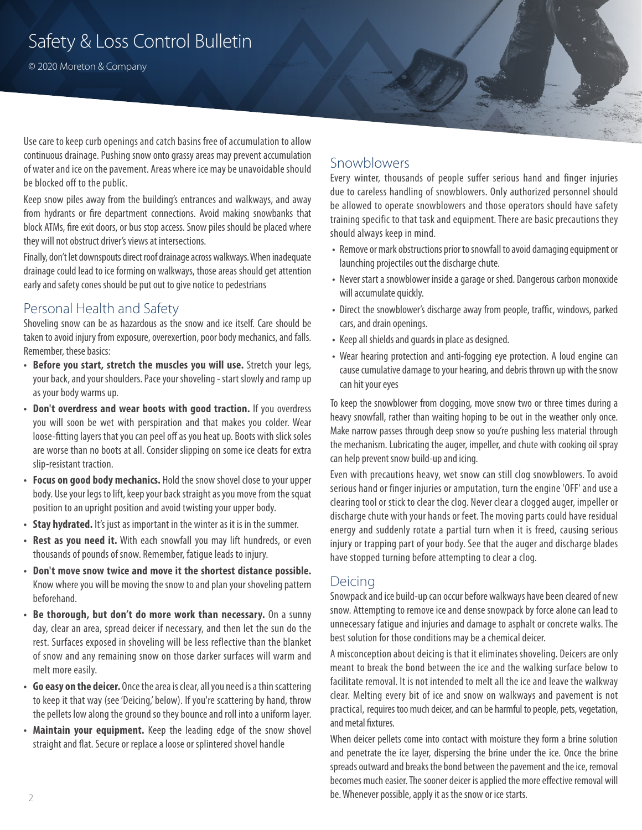## Safety & Loss Control Bulletin

© 2020 Moreton & Company

Use care to keep curb openings and catch basins free of accumulation to allow continuous drainage. Pushing snow onto grassy areas may prevent accumulation of water and ice on the pavement. Areas where ice may be unavoidable should be blocked off to the public.

Keep snow piles away from the building's entrances and walkways, and away from hydrants or fire department connections. Avoid making snowbanks that block ATMs, fire exit doors, or bus stop access. Snow piles should be placed where they will not obstruct driver's views at intersections.

Finally, don't let downspouts direct roof drainage across walkways. When inadequate drainage could lead to ice forming on walkways, those areas should get attention early and safety cones should be put out to give notice to pedestrians

#### Personal Health and Safety

Shoveling snow can be as hazardous as the snow and ice itself. Care should be taken to avoid injury from exposure, overexertion, poor body mechanics, and falls. Remember, these basics:

- **• Before you start, stretch the muscles you will use.** Stretch your legs, your back, and your shoulders. Pace your shoveling - start slowly and ramp up as your body warms up.
- **• Don't overdress and wear boots with good traction.** If you overdress you will soon be wet with perspiration and that makes you colder. Wear loose-fitting layers that you can peel off as you heat up. Boots with slick soles are worse than no boots at all. Consider slipping on some ice cleats for extra slip-resistant traction.
- **• Focus on good body mechanics.** Hold the snow shovel close to your upper body. Use your legs to lift, keep your back straight as you move from the squat position to an upright position and avoid twisting your upper body.
- **• Stay hydrated.** It's just as important in the winter as it is in the summer.
- **• Rest as you need it.** With each snowfall you may lift hundreds, or even thousands of pounds of snow. Remember, fatigue leads to injury.
- **• Don't move snow twice and move it the shortest distance possible.** Know where you will be moving the snow to and plan your shoveling pattern beforehand.
- **• Be thorough, but don't do more work than necessary.** On a sunny day, clear an area, spread deicer if necessary, and then let the sun do the rest. Surfaces exposed in shoveling will be less reflective than the blanket of snow and any remaining snow on those darker surfaces will warm and melt more easily.
- **• Go easy on the deicer.** Once the area is clear, all you need is a thin scattering to keep it that way (see 'Deicing,' below). If you're scattering by hand, throw the pellets low along the ground so they bounce and roll into a uniform layer.
- **• Maintain your equipment.** Keep the leading edge of the snow shovel straight and flat. Secure or replace a loose or splintered shovel handle

#### Snowblowers

Every winter, thousands of people suffer serious hand and finger injuries due to careless handling of snowblowers. Only authorized personnel should be allowed to operate snowblowers and those operators should have safety training specific to that task and equipment. There are basic precautions they should always keep in mind.

- **•** Remove or mark obstructions prior to snowfall to avoid damaging equipment or launching projectiles out the discharge chute.
- **•** Never start a snowblower inside a garage or shed. Dangerous carbon monoxide will accumulate quickly.
- **•** Direct the snowblower's discharge away from people, traffic, windows, parked cars, and drain openings.
- **•** Keep all shields and guards in place as designed.
- **•** Wear hearing protection and anti-fogging eye protection. A loud engine can cause cumulative damage to your hearing, and debris thrown up with the snow can hit your eyes

To keep the snowblower from clogging, move snow two or three times during a heavy snowfall, rather than waiting hoping to be out in the weather only once. Make narrow passes through deep snow so you're pushing less material through the mechanism. Lubricating the auger, impeller, and chute with cooking oil spray can help prevent snow build-up and icing.

Even with precautions heavy, wet snow can still clog snowblowers. To avoid serious hand or finger injuries or amputation, turn the engine 'OFF' and use a clearing tool or stick to clear the clog. Never clear a clogged auger, impeller or discharge chute with your hands or feet. The moving parts could have residual energy and suddenly rotate a partial turn when it is freed, causing serious injury or trapping part of your body. See that the auger and discharge blades have stopped turning before attempting to clear a clog.

#### Deicing

Snowpack and ice build-up can occur before walkways have been cleared of new snow. Attempting to remove ice and dense snowpack by force alone can lead to unnecessary fatigue and injuries and damage to asphalt or concrete walks. The best solution for those conditions may be a chemical deicer.

A misconception about deicing is that it eliminates shoveling. Deicers are only meant to break the bond between the ice and the walking surface below to facilitate removal. It is not intended to melt all the ice and leave the walkway clear. Melting every bit of ice and snow on walkways and pavement is not practical, requires too much deicer, and can be harmful to people, pets, vegetation, and metal fixtures.

When deicer pellets come into contact with moisture they form a brine solution and penetrate the ice layer, dispersing the brine under the ice. Once the brine spreads outward and breaks the bond between the pavement and the ice, removal becomes much easier. The sooner deicer is applied the more effective removal will be. Whenever possible, apply it as the snow or ice starts.